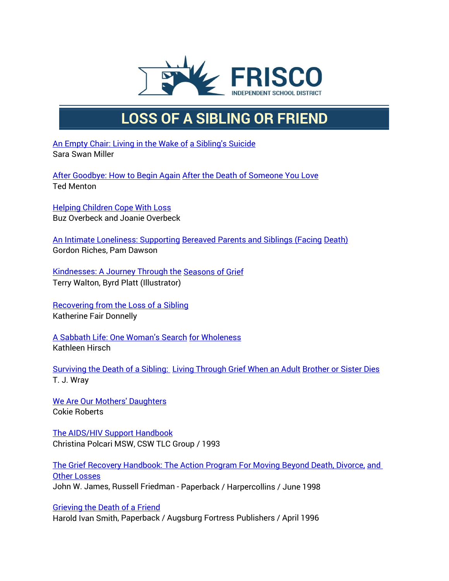

## **LOSS OF A SIBLING OR FRIEND**

[An Empty Chair: Living in](http://www.amazon.com/exec/obidos/ASIN/0595095232/griefnet/) the Wake of [a Sibling's Suicide](http://www.amazon.com/exec/obidos/ASIN/0595095232/griefnet/) Sara Swan Miller

After [Goodbye:](http://www.amazon.com/exec/obidos/ASIN/1561382957/griefnet/) How to Begin Again After the Death of [Someone](http://www.amazon.com/exec/obidos/ASIN/1561382957/griefnet/) You Love Ted Menton

[Helping Children Cope With Loss](http://griefnet.org/bookstore/tlc/order) Buz Overbeck and Joanie Overbeck

An [Intimate Loneliness:](http://www.amazon.com/exec/obidos/ASIN/0335199720/griefnet) Supporting [Bereaved Parents and Siblings \(Facing](http://www.amazon.com/exec/obidos/ASIN/0335199720/griefnet) [Death\)](http://www.amazon.com/exec/obidos/ASIN/0335199720/griefnet) Gordon Riches, Pam Dawson

[Kindnesses: A Journey Through the](http://www.amazon.com/exec/obidos/ASIN/0971186901/griefnet) [Seasons of Grief](http://www.amazon.com/exec/obidos/ASIN/0971186901/griefnet) Terry Walton, Byrd Platt (Illustrator)

[Recovering](http://www.amazon.com/exec/obidos/ASIN/0595010423/griefnet) from the Loss of a Sibling Katherine Fair Donnelly

A Sabbath Life: [One Woman's Search](http://www.amazon.com/exec/obidos/ASIN/0865475989/griefnet) for [Wholeness](http://www.amazon.com/exec/obidos/ASIN/0865475989/griefnet) Kathleen Hirsch

[Surviving](http://www.amazon.com/exec/obidos/ASIN/0609809806/griefnet) the Death of a Sibling: Living [Through Grief When an Adult](http://www.amazon.com/exec/obidos/ASIN/0609809806/griefnet) [Brother or Sister Dies](http://www.amazon.com/exec/obidos/ASIN/0609809806/griefnet) T. J. Wray

[We Are Our Mothers' Daughters](http://www.amazon.com/exec/obidos/ASIN/0688151981/griefnet/) Cokie Roberts

[The AIDS/HIV Support](http://griefnet.org/bookstore/tlc/order) Handbook Christina Polcari MSW, CSW TLC Group / 1993

[The Grief Recovery Handbook: The Action Program For Moving Beyond](http://www.amazon.com/exec/obidos/ASIN/0060952733/griefnet) Death, Divorce, [and](http://www.amazon.com/exec/obidos/ASIN/0060952733/griefnet)  [Other Losses](http://www.amazon.com/exec/obidos/ASIN/0060952733/griefnet) John W. James, Russell Friedman - Paperback / Harpercollins / June 1998

[Grieving the Death of](http://www.amazon.com/exec/obidos/ASIN/0806628421/griefnet/) a Friend Harold Ivan Smith, Paperback / Augsburg Fortress Publishers / April 1996